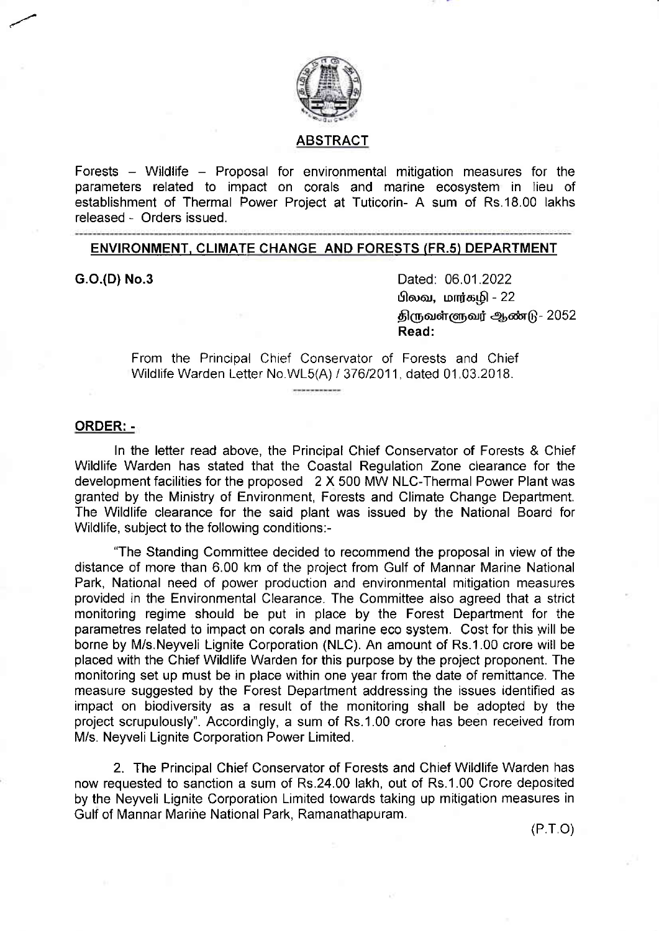

## ABSTRACT

Forests – Wildlife – Proposal for environmental mitigation measures for the parameters related to impact on corals and marine ecosystem in lieu of establishment of Thermal Power Project at Tuticorin- A sum of Rs.18.00 lakhs released - Orders issued.

# ENVIRONMENT. CLIMATE CHANGE AND FORESTS (FR.s) DEPARTMENT

G.O.(D) No.3 Dated: 06.01.2022  $\theta$ லவ, மார்கமி - 22 திருவள்ளுவர் ஆண்டு -  $2052$ Read:

> From the Principal Chief Conservator of Forests and Chief Wildlife Warden Letter No.WL5(A) / 376/2011, dated 01.03.2018.

#### ORDER: -

In the letter read above, the Principal Chief Conservator of Forests & Chief Wildlife Warden has stated that the Coastal Regulation Zone clearance for the development facilities for the proposed 2 X 500 MW NLC-Thermal Power Plant was granted by the Ministry of Environment, Forests and Climate Change Department. The Wildlife clearance for the said plant was issued by the National Board for Wildlife, subject to the following conditions:-

"The Standing Committee decided to recommend the proposal in view of the distance of more than 6.00 km of the project from Gulf of Mannar Marine National Park, National need of power production and environmental mitigation measures provided in the Environmental Clearance. The Committee also agreed that a strict monitoring regime should be put in place by the Forest Department for the parametres related to impact on corals and marine eco system. Cost for this will be borne by M/s.Neyveli Lignite Corporation (NLC). An amount of Rs.1.00 crore will be placed with the Chief Wildlife Warden for this purpose by the project proponent. The monitoring set up must be in place within one year from the date of remittance. The measure suggested by the Forest Department addressing the issues identified as impact on biodiversity as a result of the monitoring shall be adopted by the project scrupulously". Accordingly, a sum of Rs.1 .00 crore has been received from M/s. Neyveli Lignite Corporation Power Limited.

2. The Principal Chief Conservator of Forests and Chief Wildlife Warden has now requested to sanction a sum of Rs.24.00 lakh, out of Rs.1 .00 Crore deposited by the Neyveli Lignite Corporation Limited towards taking up mitigation measures in Gulf of Mannar Marine National Park, Ramanathapuram.

 $(P.T O)$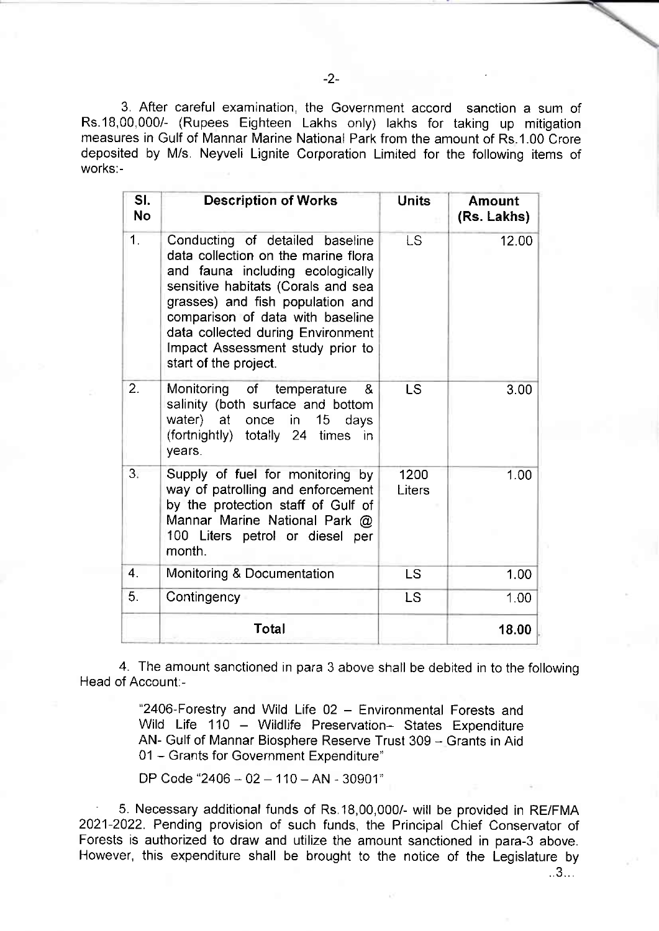3, After careful examination, the Governmeni accord sanction a sum of Rs.18,00,0001 (Rupees Eighteen Lakhs only) lakhs for taking up mitigation measures in Gulf of Mannar Marine National Park from the amount of Rs.1.00 Crore deposited by Mis. Neyveli Lignite Corporation Limited for the following items of works:-

| SI.<br><b>No</b> | <b>Description of Works</b>                                                                                                                                                                                                                                                                                                | <b>Units</b>   | <b>Amount</b><br>(Rs. Lakhs) |
|------------------|----------------------------------------------------------------------------------------------------------------------------------------------------------------------------------------------------------------------------------------------------------------------------------------------------------------------------|----------------|------------------------------|
| 1 <sub>1</sub>   | Conducting of detailed baseline<br>data collection on the marine flora<br>and fauna including ecologically<br>sensitive habitats (Corals and sea<br>grasses) and fish population and<br>comparison of data with baseline<br>data collected during Environment<br>Impact Assessment study prior to<br>start of the project. | <b>LS</b>      | 12.00                        |
| $\overline{2}$ . | Monitoring of temperature<br>&<br>salinity (both surface and bottom<br>water) at once in 15<br>days<br>(fortnightly) totally 24 times in<br>years.                                                                                                                                                                         | LS             | 3.00                         |
| 3.5              | Supply of fuel for monitoring by<br>way of patrolling and enforcement<br>by the protection staff of Gulf of<br>Mannar Marine National Park @<br>100 Liters petrol or diesel per<br>month.                                                                                                                                  | 1200<br>Liters | 1.00                         |
| $\overline{4}$ . | Monitoring & Documentation                                                                                                                                                                                                                                                                                                 | LS             | 1.00                         |
| 5.               | Contingency                                                                                                                                                                                                                                                                                                                | <b>LS</b>      | 1.00                         |
|                  | Total                                                                                                                                                                                                                                                                                                                      |                | 18.00                        |

4. The amount sanctioned in para 3 above shall be debited in to the following Head of Account:-

> "2406-Forestry and Wild Life 02 - Environmental Forests and Wild Life 110 - Wildlife Preservation- States Expenditure AN- Gulf of Mannar Biosphere Reserve Trust 309 - Grants in Aid 01 - Grants for Government Expenditure"

DP Code "2406 - 02 - 110 - AN - 30901"

' 5. Necessary additional funds of Rs.18,00,000/- will be provided in RE/FMA 2021-2022. Pending provision of such funds, the Principal Chief Conservator of Forests is authorized to draw and utilize the amount sanctioned in para-3 above. However, this expenditure shall be brought to the notice of the Legislature by

 $.3...$